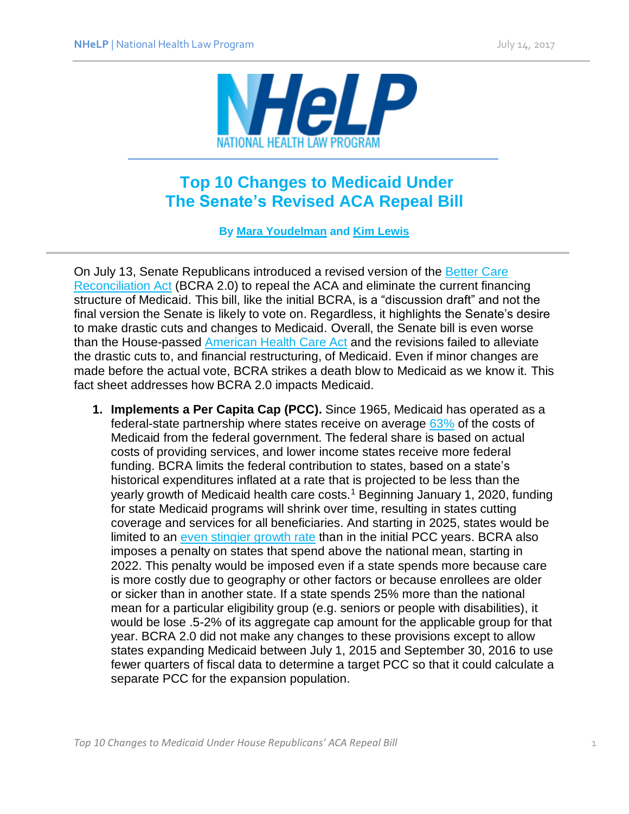

## **Top 10 Changes to Medicaid Under The Senate's Revised ACA Repeal Bill**

**By [Mara Youdelman](http://www.healthlaw.org/about/staff/mara-youdelman) and [Kim Lewis](http://www.healthlaw.org/about/staff/kim-lewis)**

On July 13, Senate Republicans introduced a revised version of the [Better Care](https://www.budget.senate.gov/imo/media/doc/SENATEHEALTHCARE.pdf)  [Reconciliation Act](https://www.budget.senate.gov/imo/media/doc/SENATEHEALTHCARE.pdf) (BCRA 2.0) to repeal the ACA and eliminate the current financing structure of Medicaid. This bill, like the initial BCRA, is a "discussion draft" and not the final version the Senate is likely to vote on. Regardless, it highlights the Senate's desire to make drastic cuts and changes to Medicaid. Overall, the Senate bill is even worse than the House-passed [American Health Care Act](https://www.congress.gov/115/bills/hr1628/BILLS-115hr1628pcs.pdf) and the revisions failed to alleviate the drastic cuts to, and financial restructuring, of Medicaid. Even if minor changes are made before the actual vote, BCRA strikes a death blow to Medicaid as we know it. This fact sheet addresses how BCRA 2.0 impacts Medicaid.

**1. Implements a Per Capita Cap (PCC).** Since 1965, Medicaid has operated as a federal-state partnership where states receive on average [63%](http://kff.org/medicaid/state-indicator/federalstate-share-of-spending/?currentTimeframe=0&sortModel=%7B%22colId%22:%22Location%22,%22sort%22:%22asc%22%7D) of the costs of Medicaid from the federal government. The federal share is based on actual costs of providing services, and lower income states receive more federal funding. BCRA limits the federal contribution to states, based on a state's historical expenditures inflated at a rate that is projected to be less than the yearly growth of Medicaid health care costs.<sup>1</sup> Beginning January 1, 2020, funding for state Medicaid programs will shrink over time, resulting in states cutting coverage and services for all beneficiaries. And starting in 2025, states would be limited to an [even stingier](http://www.healthlaw.org/blog/597-per-capita-caps-growth-rate-leaving-states-in-the-dark) growth rate than in the initial PCC years. BCRA also imposes a penalty on states that spend above the national mean, starting in 2022. This penalty would be imposed even if a state spends more because care is more costly due to geography or other factors or because enrollees are older or sicker than in another state. If a state spends 25% more than the national mean for a particular eligibility group (e.g. seniors or people with disabilities), it would be lose .5-2% of its aggregate cap amount for the applicable group for that year. BCRA 2.0 did not make any changes to these provisions except to allow states expanding Medicaid between July 1, 2015 and September 30, 2016 to use fewer quarters of fiscal data to determine a target PCC so that it could calculate a separate PCC for the expansion population.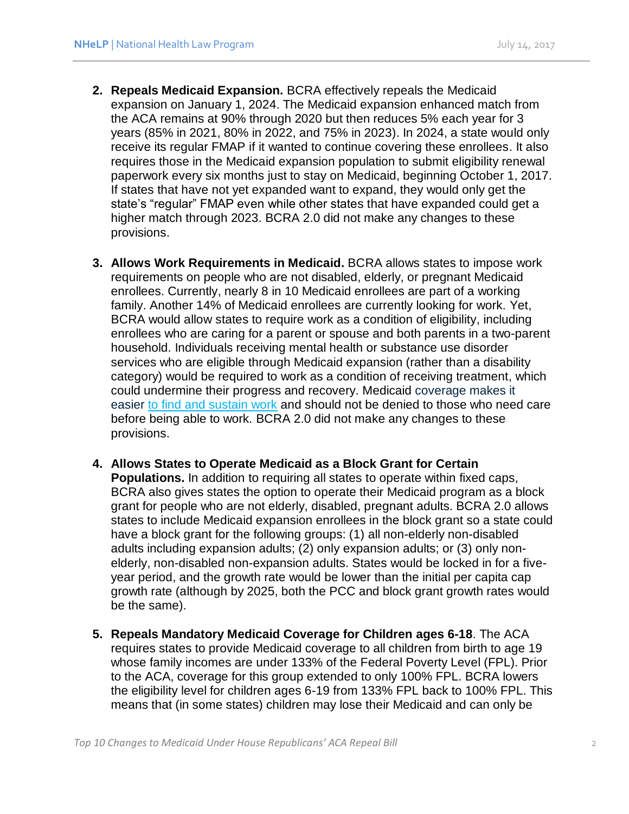- **2. Repeals Medicaid Expansion.** BCRA effectively repeals the Medicaid expansion on January 1, 2024. The Medicaid expansion enhanced match from the ACA remains at 90% through 2020 but then reduces 5% each year for 3 years (85% in 2021, 80% in 2022, and 75% in 2023). In 2024, a state would only receive its regular FMAP if it wanted to continue covering these enrollees. It also requires those in the Medicaid expansion population to submit eligibility renewal paperwork every six months just to stay on Medicaid, beginning October 1, 2017. If states that have not yet expanded want to expand, they would only get the state's "regular" FMAP even while other states that have expanded could get a higher match through 2023. BCRA 2.0 did not make any changes to these provisions.
- **3. Allows Work Requirements in Medicaid.** BCRA allows states to impose work requirements on people who are not disabled, elderly, or pregnant Medicaid enrollees. Currently, nearly 8 in 10 Medicaid enrollees are part of a working family. Another 14% of Medicaid enrollees are currently looking for work. Yet, BCRA would allow states to require work as a condition of eligibility, including enrollees who are caring for a parent or spouse and both parents in a two-parent household. Individuals receiving mental health or substance use disorder services who are eligible through Medicaid expansion (rather than a disability category) would be required to work as a condition of receiving treatment, which could undermine their progress and recovery. Medicaid coverage makes it easier to find and [sustain](http://medicaid.ohio.gov/portals/0/resources/reports/annual/group-viii-assessment.pdf) work and should not be denied to those who need care before being able to work. BCRA 2.0 did not make any changes to these provisions.
- **4. Allows States to Operate Medicaid as a Block Grant for Certain Populations.** In addition to requiring all states to operate within fixed caps, BCRA also gives states the option to operate their Medicaid program as a block grant for people who are not elderly, disabled, pregnant adults. BCRA 2.0 allows states to include Medicaid expansion enrollees in the block grant so a state could have a block grant for the following groups: (1) all non-elderly non-disabled adults including expansion adults; (2) only expansion adults; or (3) only nonelderly, non-disabled non-expansion adults. States would be locked in for a fiveyear period, and the growth rate would be lower than the initial per capita cap growth rate (although by 2025, both the PCC and block grant growth rates would
- **5. Repeals Mandatory Medicaid Coverage for Children ages 6-18**. The ACA requires states to provide Medicaid coverage to all children from birth to age 19 whose family incomes are under 133% of the Federal Poverty Level (FPL). Prior to the ACA, coverage for this group extended to only 100% FPL. BCRA lowers the eligibility level for children ages 6-19 from 133% FPL back to 100% FPL. This means that (in some states) children may lose their Medicaid and can only be

be the same).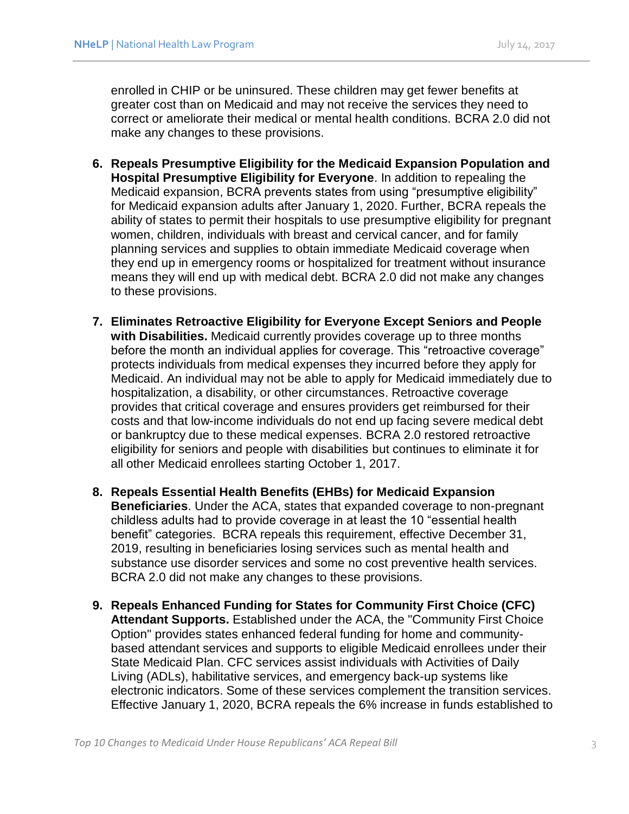enrolled in CHIP or be uninsured. These children may get fewer benefits at greater cost than on Medicaid and may not receive the services they need to correct or ameliorate their medical or mental health conditions. BCRA 2.0 did not make any changes to these provisions.

- **6. Repeals Presumptive Eligibility for the Medicaid Expansion Population and Hospital Presumptive Eligibility for Everyone**. In addition to repealing the Medicaid expansion, BCRA prevents states from using "presumptive eligibility" for Medicaid expansion adults after January 1, 2020. Further, BCRA repeals the ability of states to permit their hospitals to use presumptive eligibility for pregnant women, children, individuals with breast and cervical cancer, and for family planning services and supplies to obtain immediate Medicaid coverage when they end up in emergency rooms or hospitalized for treatment without insurance means they will end up with medical debt. BCRA 2.0 did not make any changes to these provisions.
- **7. Eliminates Retroactive Eligibility for Everyone Except Seniors and People with Disabilities.** Medicaid currently provides coverage up to three months before the month an individual applies for coverage. This "retroactive coverage" protects individuals from medical expenses they incurred before they apply for Medicaid. An individual may not be able to apply for Medicaid immediately due to hospitalization, a disability, or other circumstances. Retroactive coverage provides that critical coverage and ensures providers get reimbursed for their costs and that low-income individuals do not end up facing severe medical debt or bankruptcy due to these medical expenses. BCRA 2.0 restored retroactive eligibility for seniors and people with disabilities but continues to eliminate it for all other Medicaid enrollees starting October 1, 2017.
- **8. Repeals Essential Health Benefits (EHBs) for Medicaid Expansion Beneficiaries**. Under the ACA, states that expanded coverage to non-pregnant childless adults had to provide coverage in at least the 10 "essential health benefit" categories. BCRA repeals this requirement, effective December 31, 2019, resulting in beneficiaries losing services such as mental health and substance use disorder services and some no cost preventive health services. BCRA 2.0 did not make any changes to these provisions.
- **9. Repeals Enhanced Funding for States for Community First Choice (CFC) Attendant Supports.** Established under the ACA, the "Community First Choice Option" provides states enhanced federal funding for home and communitybased attendant services and supports to eligible Medicaid enrollees under their State Medicaid Plan. CFC services assist individuals with Activities of Daily Living (ADLs), habilitative services, and emergency back-up systems like electronic indicators. Some of these services complement the transition services. Effective January 1, 2020, BCRA repeals the 6% increase in funds established to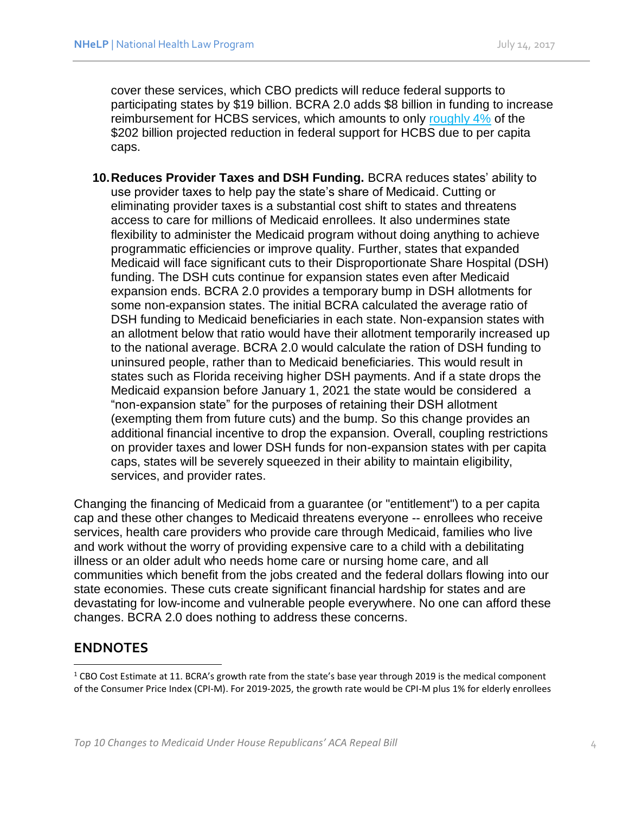cover these services, which CBO predicts will reduce federal supports to participating states by \$19 billion. BCRA 2.0 adds \$8 billion in funding to increase reimbursement for HCBS services, which amounts to only [roughly 4%](http://clpc.ucsf.edu/sites/clpc.ucsf.edu/files/reports/Impact%20of%20BCRA%20on%20HCBS%20spending%20updated%207-14-17_0.pdf) of the \$202 billion projected reduction in federal support for HCBS due to per capita caps.

**10.Reduces Provider Taxes and DSH Funding.** BCRA reduces states' ability to use provider taxes to help pay the state's share of Medicaid. Cutting or eliminating provider taxes is a substantial cost shift to states and threatens access to care for millions of Medicaid enrollees. It also undermines state flexibility to administer the Medicaid program without doing anything to achieve programmatic efficiencies or improve quality. Further, states that expanded Medicaid will face significant cuts to their Disproportionate Share Hospital (DSH) funding. The DSH cuts continue for expansion states even after Medicaid expansion ends. BCRA 2.0 provides a temporary bump in DSH allotments for some non-expansion states. The initial BCRA calculated the average ratio of DSH funding to Medicaid beneficiaries in each state. Non-expansion states with an allotment below that ratio would have their allotment temporarily increased up to the national average. BCRA 2.0 would calculate the ration of DSH funding to uninsured people, rather than to Medicaid beneficiaries. This would result in states such as Florida receiving higher DSH payments. And if a state drops the Medicaid expansion before January 1, 2021 the state would be considered a "non-expansion state" for the purposes of retaining their DSH allotment (exempting them from future cuts) and the bump. So this change provides an additional financial incentive to drop the expansion. Overall, coupling restrictions on provider taxes and lower DSH funds for non-expansion states with per capita caps, states will be severely squeezed in their ability to maintain eligibility, services, and provider rates.

Changing the financing of Medicaid from a guarantee (or "entitlement") to a per capita cap and these other changes to Medicaid threatens everyone -- enrollees who receive services, health care providers who provide care through Medicaid, families who live and work without the worry of providing expensive care to a child with a debilitating illness or an older adult who needs home care or nursing home care, and all communities which benefit from the jobs created and the federal dollars flowing into our state economies. These cuts create significant financial hardship for states and are devastating for low-income and vulnerable people everywhere. No one can afford these changes. BCRA 2.0 does nothing to address these concerns.

## **ENDNOTES**

 $\overline{a}$ 

<sup>&</sup>lt;sup>1</sup> CBO Cost Estimate at 11. BCRA's growth rate from the state's base year through 2019 is the medical component of the Consumer Price Index (CPI-M). For 2019-2025, the growth rate would be CPI-M plus 1% for elderly enrollees